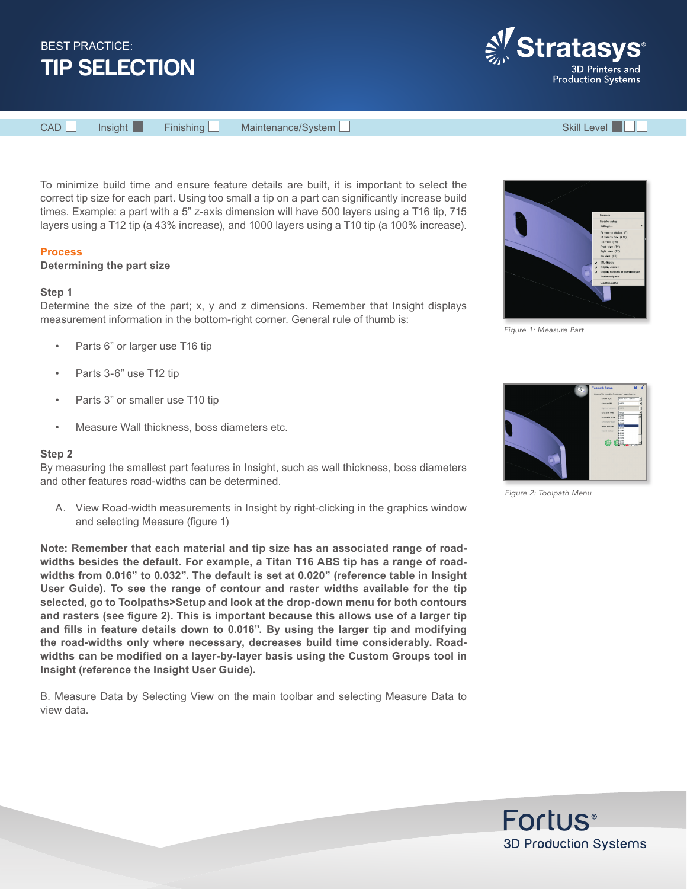

**Stratas** 3D Printers and **Production Systems** 

CAD Insight Finishing Maintenance/System Skill Level Skill Level

To minimize build time and ensure feature details are built, it is important to select the correct tip size for each part. Using too small a tip on a part can significantly increase build times. Example: a part with a 5" z-axis dimension will have 500 layers using a T16 tip, 715 layers using a T12 tip (a 43% increase), and 1000 layers using a T10 tip (a 100% increase).

# **Process**

## **Determining the part size**

#### **Step 1**

Determine the size of the part; x, y and z dimensions. Remember that Insight displays measurement information in the bottom-right corner. General rule of thumb is:

- Parts 6" or larger use T16 tip
- Parts 3-6" use T12 tip
- Parts 3" or smaller use T10 tip
- Measure Wall thickness, boss diameters etc.

## **Step 2**

By measuring the smallest part features in Insight, such as wall thickness, boss diameters and other features road-widths can be determined.

A. View Road-width measurements in Insight by right-clicking in the graphics window and selecting Measure (figure 1)

**Note: Remember that each material and tip size has an associated range of roadwidths besides the default. For example, a Titan T16 ABS tip has a range of roadwidths from 0.016" to 0.032". The default is set at 0.020" (reference table in Insight User Guide). To see the range of contour and raster widths available for the tip selected, go to Toolpaths>Setup and look at the drop-down menu for both contours and rasters (see figure 2). This is important because this allows use of a larger tip and fills in feature details down to 0.016". By using the larger tip and modifying the road-widths only where necessary, decreases build time considerably. Roadwidths can be modified on a layer-by-layer basis using the Custom Groups tool in Insight (reference the Insight User Guide).** 

B. Measure Data by Selecting View on the main toolbar and selecting Measure Data to view data.



*Figure 1: Measure Part*



*Figure 2: Toolpath Menu*